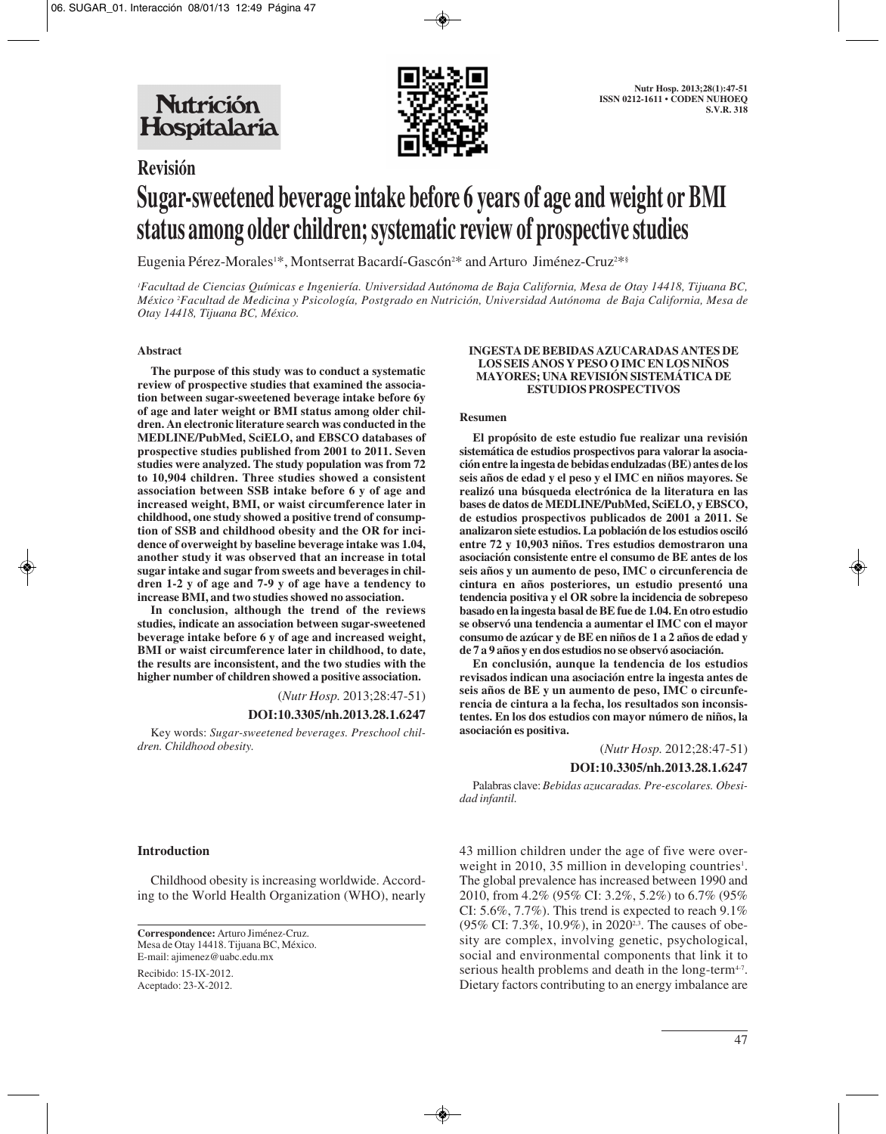

## **Revisión**

# **Sugar-sweetened beverage intake before 6 years of age and weight or BMI status among older children; systematic review of prospective studies**

Eugenia Pérez-Morales1\*, Montserrat Bacardí-Gascón<sup>2\*</sup> and Arturo Jiménez-Cruz<sup>2\*\$</sup>

*1 Facultad de Ciencias Químicas e Ingeniería. Universidad Autónoma de Baja California, Mesa de Otay 14418, Tijuana BC, México 2 Facultad de Medicina y Psicología, Postgrado en Nutrición, Universidad Autónoma de Baja California, Mesa de Otay 14418, Tijuana BC, México.*

#### **Abstract**

**The purpose of this study was to conduct a systematic review of prospective studies that examined the association between sugar-sweetened beverage intake before 6y of age and later weight or BMI status among older children. An electronic literature search was conducted in the MEDLINE/PubMed, SciELO, and EBSCO databases of prospective studies published from 2001 to 2011. Seven studies were analyzed. The study population was from 72 to 10,904 children. Three studies showed a consistent association between SSB intake before 6 y of age and increased weight, BMI, or waist circumference later in childhood, one study showed a positive trend of consumption of SSB and childhood obesity and the OR for incidence of overweight by baseline beverage intake was 1.04, another study it was observed that an increase in total sugar intake and sugar from sweets and beverages in children 1-2 y of age and 7-9 y of age have a tendency to increase BMI, and two studies showed no association.** 

**In conclusion, although the trend of the reviews studies, indicate an association between sugar-sweetened beverage intake before 6 y of age and increased weight, BMI or waist circumference later in childhood, to date, the results are inconsistent, and the two studies with the higher number of children showed a positive association.** 

(*Nutr Hosp.* 2013;28:47-51)

#### **DOI:10.3305/nh.2013.28.1.6247**

Key words: *Sugar-sweetened beverages. Preschool children. Childhood obesity.*

#### **INGESTA DE BEBIDAS AZUCARADAS ANTES DE LOS SEIS ANOS Y PESO O IMC EN LOS NIÑOS MAYORES; UNA REVISIÓN SISTEMÁTICA DE ESTUDIOS PROSPECTIVOS**

#### **Resumen**

**El propósito de este estudio fue realizar una revisión sistemática de estudios prospectivos para valorar la asociación entre la ingesta de bebidas endulzadas (BE) antes de los seis años de edad y el peso y el IMC en niños mayores. Se realizó una búsqueda electrónica de la literatura en las bases de datos de MEDLINE/PubMed, SciELO, y EBSCO, de estudios prospectivos publicados de 2001 a 2011. Se analizaron siete estudios. La población de los estudios osciló entre 72 y 10,903 niños. Tres estudios demostraron una asociación consistente entre el consumo de BE antes de los seis años y un aumento de peso, IMC o circunferencia de cintura en años posteriores, un estudio presentó una tendencia positiva y el OR sobre la incidencia de sobrepeso basado en la ingesta basal de BE fue de 1.04. En otro estudio se observó una tendencia a aumentar el IMC con el mayor consumo de azúcar y de BE en niños de 1 a 2 años de edad y de 7 a 9 años y en dos estudios no se observó asociación.** 

**En conclusión, aunque la tendencia de los estudios revisados indican una asociación entre la ingesta antes de seis años de BE y un aumento de peso, IMC o circunferencia de cintura a la fecha, los resultados son inconsistentes. En los dos estudios con mayor número de niños, la asociación es positiva.** 

(*Nutr Hosp.* 2012;28:47-51)

**DOI:10.3305/nh.2013.28.1.6247**

Palabras clave: *Bebidas azucaradas. Pre-escolares. Obesidad infantil.*

**Introduction**

Childhood obesity is increasing worldwide. According to the World Health Organization (WHO), nearly

**Correspondence:** Arturo Jiménez-Cruz. Mesa de Otay 14418. Tijuana BC, México. E-mail: ajimenez@uabc.edu.mx

Recibido: 15-IX-2012. Aceptado: 23-X-2012. 43 million children under the age of five were overweight in 2010, 35 million in developing countries<sup>1</sup>. The global prevalence has increased between 1990 and 2010, from 4.2% (95% CI: 3.2%, 5.2%) to 6.7% (95% CI: 5.6%, 7.7%). This trend is expected to reach 9.1% (95% CI: 7.3%, 10.9%), in 2020<sup>2,3</sup>. The causes of obesity are complex, involving genetic, psychological, social and environmental components that link it to serious health problems and death in the long-term<sup>4-7</sup>. Dietary factors contributing to an energy imbalance are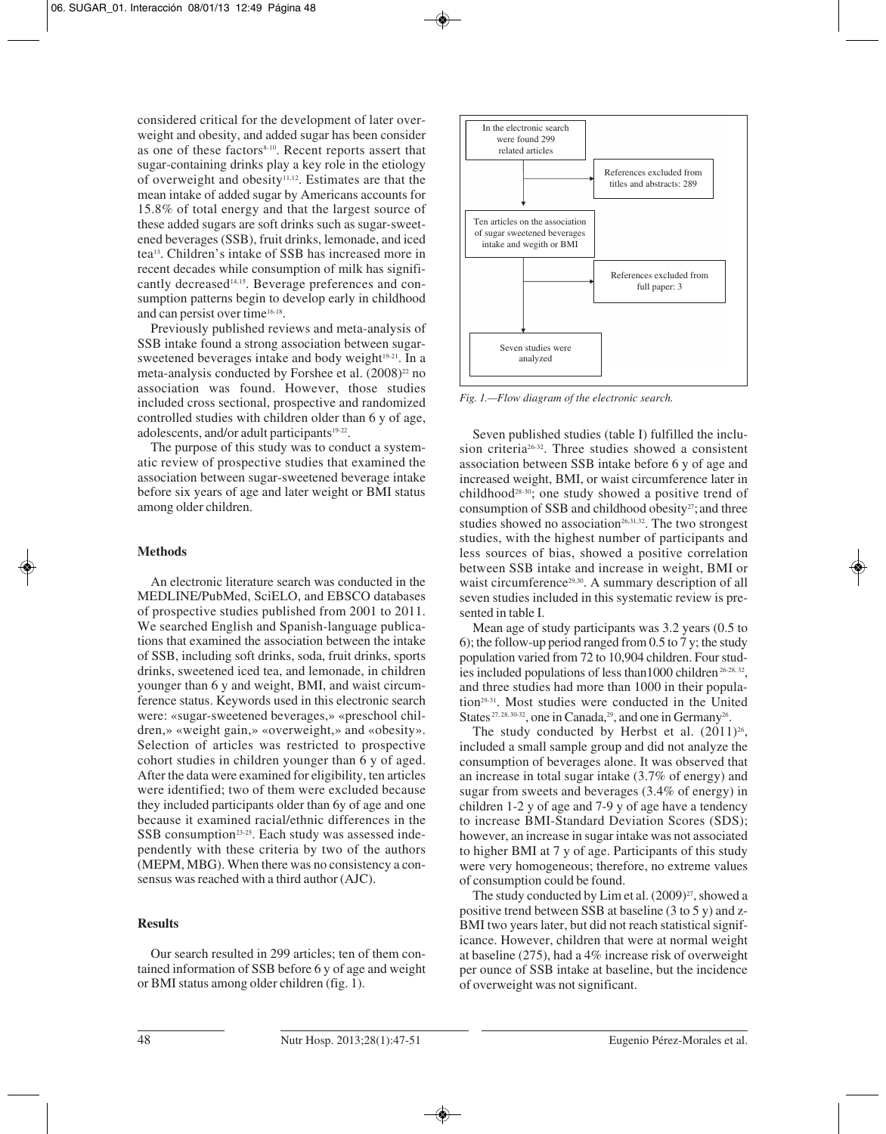considered critical for the development of later overweight and obesity, and added sugar has been consider as one of these factors<sup>8-10</sup>. Recent reports assert that sugar-containing drinks play a key role in the etiology of overweight and obesity<sup>11,12</sup>. Estimates are that the mean intake of added sugar by Americans accounts for 15.8% of total energy and that the largest source of these added sugars are soft drinks such as sugar-sweetened beverages (SSB), fruit drinks, lemonade, and iced tea13. Children's intake of SSB has increased more in recent decades while consumption of milk has significantly decreased<sup>14,15</sup>. Beverage preferences and consumption patterns begin to develop early in childhood and can persist over time<sup>16-18</sup>.

Previously published reviews and meta-analysis of SSB intake found a strong association between sugarsweetened beverages intake and body weight<sup>19-21</sup>. In a meta-analysis conducted by Forshee et al.  $(2008)^{22}$  no association was found. However, those studies included cross sectional, prospective and randomized controlled studies with children older than 6 y of age, adolescents, and/or adult participants<sup>19-22</sup>.

The purpose of this study was to conduct a systematic review of prospective studies that examined the association between sugar-sweetened beverage intake before six years of age and later weight or BMI status among older children.

#### **Methods**

An electronic literature search was conducted in the MEDLINE/PubMed, SciELO, and EBSCO databases of prospective studies published from 2001 to 2011. We searched English and Spanish-language publications that examined the association between the intake of SSB, including soft drinks, soda, fruit drinks, sports drinks, sweetened iced tea, and lemonade, in children younger than 6 y and weight, BMI, and waist circumference status. Keywords used in this electronic search were: «sugar-sweetened beverages,» «preschool children,» «weight gain,» «overweight,» and «obesity». Selection of articles was restricted to prospective cohort studies in children younger than 6 y of aged. After the data were examined for eligibility, ten articles were identified; two of them were excluded because they included participants older than 6y of age and one because it examined racial/ethnic differences in the SSB consumption<sup>23-25</sup>. Each study was assessed independently with these criteria by two of the authors (MEPM, MBG). When there was no consistency a consensus was reached with a third author (AJC).

### **Results**

Our search resulted in 299 articles; ten of them contained information of SSB before 6 y of age and weight or BMI status among older children (fig. 1).



*Fig. 1.—Flow diagram of the electronic search.*

Seven published studies (table I) fulfilled the inclusion criteria26-32. Three studies showed a consistent association between SSB intake before 6 y of age and increased weight, BMI, or waist circumference later in childhood28-30; one study showed a positive trend of consumption of SSB and childhood obesity $27$ ; and three studies showed no association $26,31,32$ . The two strongest studies, with the highest number of participants and less sources of bias, showed a positive correlation between SSB intake and increase in weight, BMI or waist circumference<sup>29,30</sup>. A summary description of all seven studies included in this systematic review is presented in table I.

Mean age of study participants was 3.2 years (0.5 to 6); the follow-up period ranged from 0.5 to 7 y; the study population varied from 72 to 10,904 children. Four studies included populations of less than 1000 children<sup>26-28, 32</sup>, and three studies had more than 1000 in their population29-31. Most studies were conducted in the United States <sup>27, 28, 30-32</sup>, one in Canada, <sup>29</sup>, and one in Germany<sup>26</sup>.

The study conducted by Herbst et al.  $(2011)^{26}$ , included a small sample group and did not analyze the consumption of beverages alone. It was observed that an increase in total sugar intake (3.7% of energy) and sugar from sweets and beverages (3.4% of energy) in children 1-2 y of age and 7-9 y of age have a tendency to increase BMI-Standard Deviation Scores (SDS); however, an increase in sugar intake was not associated to higher BMI at 7 y of age. Participants of this study were very homogeneous; therefore, no extreme values of consumption could be found.

The study conducted by Lim et al.  $(2009)^{27}$ , showed a positive trend between SSB at baseline (3 to 5 y) and z-BMI two years later, but did not reach statistical significance. However, children that were at normal weight at baseline (275), had a 4% increase risk of overweight per ounce of SSB intake at baseline, but the incidence of overweight was not significant.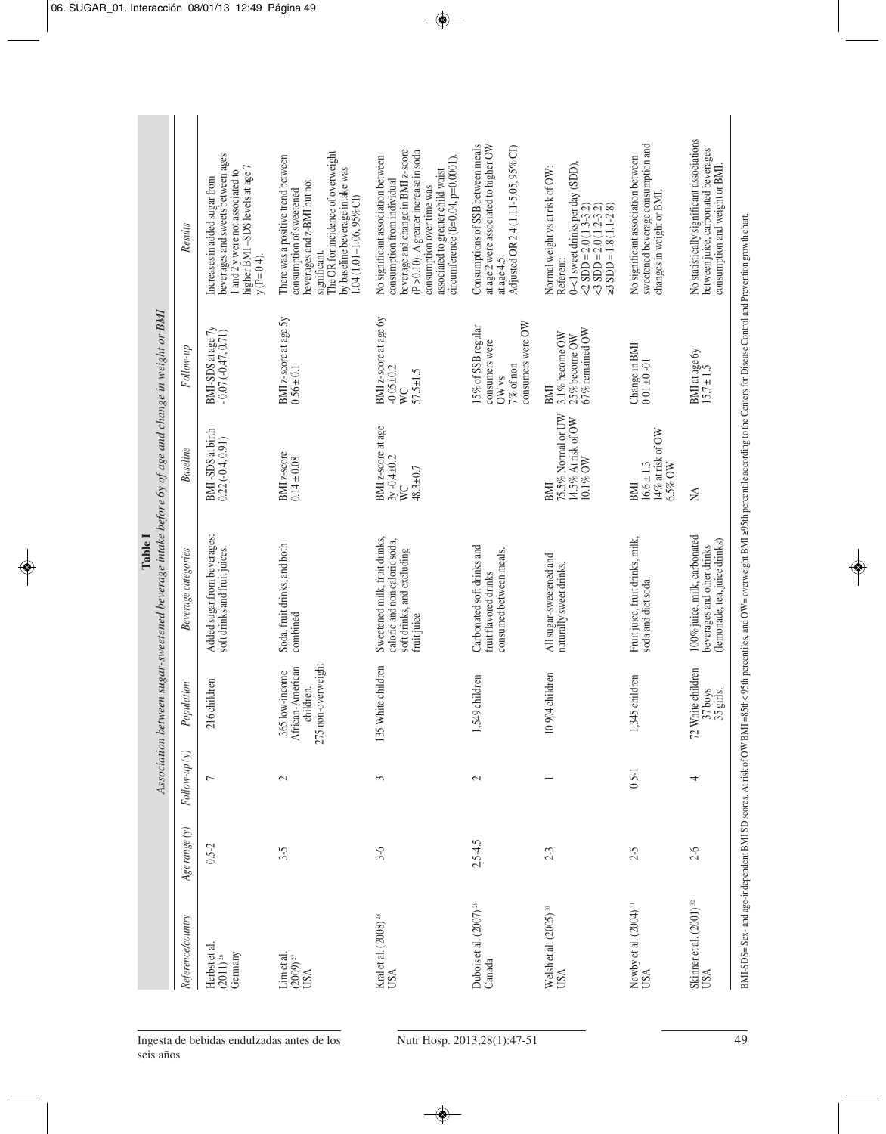| Association between sugar-sweetened beverage intake before by of age and change in weight or BMI | Results             | beverages and sweets between ages<br>higher BMI-SDS levels at age 7<br>1 and 2 y were not associated to<br>Increases in added sugar from<br>$y (P=0.4)$ . | The OR for incidence of overweight<br>There was a positive trend between<br>by baseline beverage intake was<br>1.04 (1.01–1.06, 95%CI)<br>beverages and z-BMI but not<br>consumption of sweetened<br>significant. | beverage and change in BMI z-score<br>(P >0.10). A greater increase in soda<br>No significant association between<br>circumference (ß=0.04, p=0.0001)<br>associated to greater child waist<br>consumption from individual<br>consumption over time was | Consumptions of SSB between meals<br>at age 2 were associated to higher OW<br>Adjusted OR 2.4 (1.11-5.05, 95% CI)<br>at age 4.5. | 0-<1 sweet drinks per day (SDD),<br>Normal weight vs at risk of OW:<br>$\angle 2$ SDD = 2.0 (1.3-3.2)<br>$\leq$ SDD = 2.0 (1.2-3.2)<br>$\geq$ SDD = 1.8 (1.1-2.8)<br>Referent: | sweetened be verage consumption and<br>No significant association between<br>changes in weight or BMI. | No statistically significant associations<br>between juice, carbonated beverages<br>consumption and weight or BMI.                                                                                                                                                          |
|--------------------------------------------------------------------------------------------------|---------------------|-----------------------------------------------------------------------------------------------------------------------------------------------------------|-------------------------------------------------------------------------------------------------------------------------------------------------------------------------------------------------------------------|--------------------------------------------------------------------------------------------------------------------------------------------------------------------------------------------------------------------------------------------------------|----------------------------------------------------------------------------------------------------------------------------------|--------------------------------------------------------------------------------------------------------------------------------------------------------------------------------|--------------------------------------------------------------------------------------------------------|-----------------------------------------------------------------------------------------------------------------------------------------------------------------------------------------------------------------------------------------------------------------------------|
|                                                                                                  | Follow-up           | $\begin{array}{c} {\rm BMI}\text{-}\mathrm{SDS}\text{ at}\text{ age}\text{ }7\text{y}\\ -0.07\,(-0.47,0.71) \end{array}$                                  | BMI z-score at age 5y<br>$0.56 \pm 0.1$                                                                                                                                                                           | BMI z-score at age by<br>$-0.05 + 0.2$<br>$57.5 \pm 1.5$<br>WC                                                                                                                                                                                         | consumers were OW<br>15% of SSB regular<br>consumers were<br>$7\%$ of non<br>OW $vs$                                             | 67% remained OW<br>3.1% become $OW$<br>$25\%$ become OW<br>BMI                                                                                                                 | Change in BMI<br>$0.01 \pm 0.01$                                                                       | BMI at age 6y<br>15.7 $\pm$ 1.5                                                                                                                                                                                                                                             |
|                                                                                                  | <b>Baseline</b>     | BMI-SDS at birth<br>$0.22(-0.4, 0.91)$                                                                                                                    | BMI z-score<br>$0.14 \pm 0.08$                                                                                                                                                                                    | BMI z-score at age<br>$3y - 0.4 \pm 0.2$<br>48.3±0.7<br>ŴΣ                                                                                                                                                                                             |                                                                                                                                  | 75.5% Normal or UW<br>14.5% At risk of OW<br>10.1% OW<br>BMI                                                                                                                   | 14% at risk of OW<br>$16.6 \pm 1.3$<br>6.5% OW<br>BMI                                                  | ΧA                                                                                                                                                                                                                                                                          |
| Table I                                                                                          | Beverage categories | Added sugar from beverages:<br>soft drinks and fruit juices.                                                                                              | Soda, fruit drinks, and both<br>combined                                                                                                                                                                          | Sweetened milk, fruit drinks,<br>caloric and non caloric soda,<br>soft drinks, and excluding<br>fruit juice                                                                                                                                            | Carbonated soft drinks and<br>consumed between meals.<br>fruit flavored drinks                                                   | All sugar-sweetened and<br>naturally sweet drinks.                                                                                                                             | Fruit juice, fruit drinks, milk,<br>soda and diet soda.                                                | BMI-SDS=Sex- and age-independent BMI SD scores. At risk of OW BMI=88th<br>exercities, and OW=overweight BMI =99th percentile according to the Centers for Disease Control and Prevention growth chart.<br>100% juice, milk, carbonated<br>(lemonade, tea, juice drinks)<br> |
|                                                                                                  | Population          | 216 children                                                                                                                                              | 275 non-overweight<br>African-American<br>365 low-income<br>children.                                                                                                                                             | 135 White children                                                                                                                                                                                                                                     | children<br>1,549                                                                                                                | 10904 children                                                                                                                                                                 | children<br>1,345                                                                                      | 72 White children<br>37 boys<br>35 girls.                                                                                                                                                                                                                                   |
|                                                                                                  | $Follow-up(v)$      | $\overline{ }$                                                                                                                                            | $\mathcal{L}$                                                                                                                                                                                                     | 3                                                                                                                                                                                                                                                      | $\mathcal{L}$                                                                                                                    |                                                                                                                                                                                | $0.5-1$                                                                                                | 4                                                                                                                                                                                                                                                                           |
|                                                                                                  | $Age \ range(y)$    | $0.5 - 2$                                                                                                                                                 | $3 - 5$                                                                                                                                                                                                           | $3 - 6$                                                                                                                                                                                                                                                | $2.5 - 4.5$                                                                                                                      | $2 - 3$                                                                                                                                                                        | $2 - 5$                                                                                                | $2 - 6$                                                                                                                                                                                                                                                                     |
|                                                                                                  | Reference/country   | Herbst et al.<br>(2011) <sup>26</sup><br>Germany                                                                                                          | Lim <sub>etal</sub> .<br>$(2009)^{27}$<br>USA                                                                                                                                                                     | Kral et al. (2008) <sup>28</sup><br>USA                                                                                                                                                                                                                | Dubois et al. (2007) <sup>29</sup><br>Canada                                                                                     | Welsh et al. (2005) 30<br>USA                                                                                                                                                  | Newby et al. (2004) <sup>31</sup><br>USA                                                               | Skinner et al. (2001) <sup>32</sup><br>USA                                                                                                                                                                                                                                  |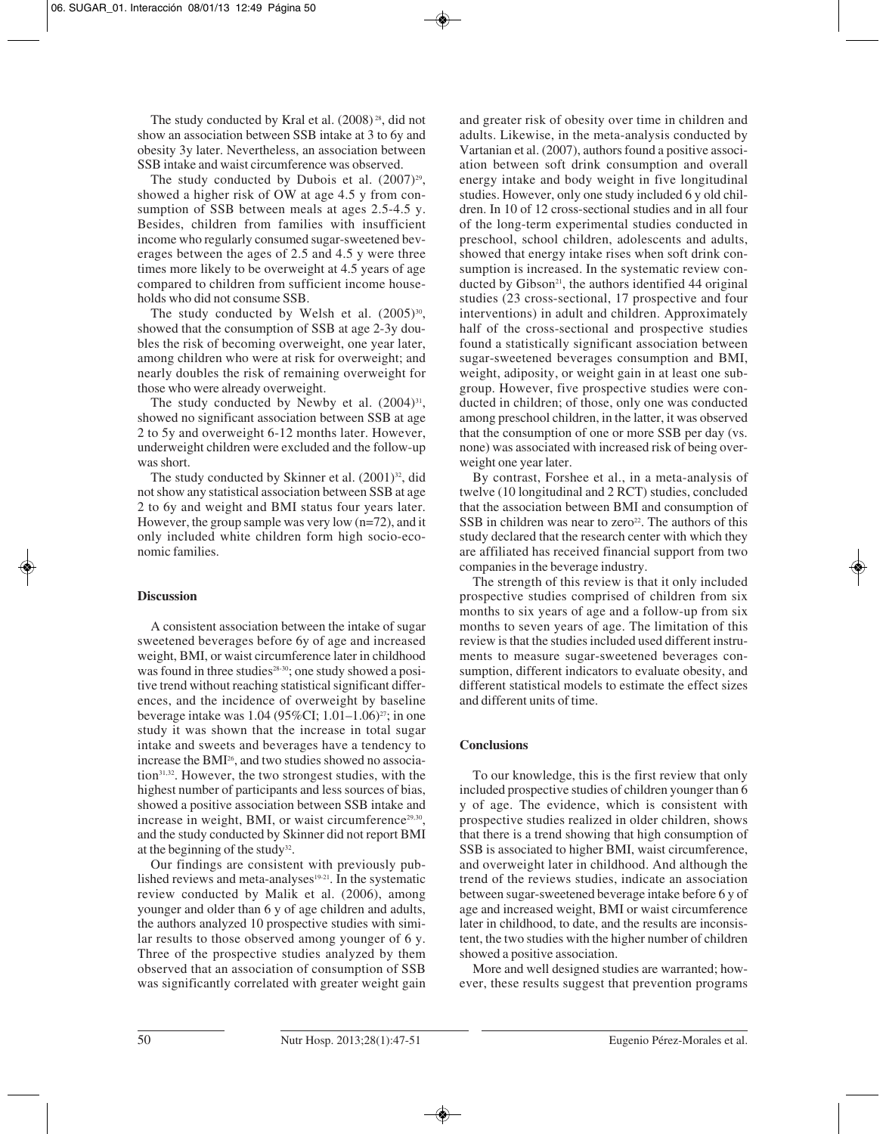The study conducted by Kral et al. (2008)<sup>28</sup>, did not show an association between SSB intake at 3 to 6y and obesity 3y later. Nevertheless, an association between SSB intake and waist circumference was observed.

The study conducted by Dubois et al.  $(2007)^{29}$ , showed a higher risk of OW at age 4.5 y from consumption of SSB between meals at ages 2.5-4.5 y. Besides, children from families with insufficient income who regularly consumed sugar-sweetened beverages between the ages of 2.5 and 4.5 y were three times more likely to be overweight at 4.5 years of age compared to children from sufficient income households who did not consume SSB.

The study conducted by Welsh et al.  $(2005)^{30}$ , showed that the consumption of SSB at age 2-3y doubles the risk of becoming overweight, one year later, among children who were at risk for overweight; and nearly doubles the risk of remaining overweight for those who were already overweight.

The study conducted by Newby et al.  $(2004)^{31}$ , showed no significant association between SSB at age 2 to 5y and overweight 6-12 months later. However, underweight children were excluded and the follow-up was short.

The study conducted by Skinner et al.  $(2001)^{32}$ , did not show any statistical association between SSB at age 2 to 6y and weight and BMI status four years later. However, the group sample was very low (n=72), and it only included white children form high socio-economic families.

#### **Discussion**

A consistent association between the intake of sugar sweetened beverages before 6y of age and increased weight, BMI, or waist circumference later in childhood was found in three studies<sup>28-30</sup>; one study showed a positive trend without reaching statistical significant differences, and the incidence of overweight by baseline beverage intake was 1.04 (95%CI; 1.01–1.06)<sup>27</sup>; in one study it was shown that the increase in total sugar intake and sweets and beverages have a tendency to increase the BMI26, and two studies showed no association<sup>31,32</sup>. However, the two strongest studies, with the highest number of participants and less sources of bias, showed a positive association between SSB intake and increase in weight, BMI, or waist circumference $29,30$ , and the study conducted by Skinner did not report BMI at the beginning of the study<sup>32</sup>.

Our findings are consistent with previously published reviews and meta-analyses $19-21$ . In the systematic review conducted by Malik et al. (2006), among younger and older than 6 y of age children and adults, the authors analyzed 10 prospective studies with similar results to those observed among younger of 6 y. Three of the prospective studies analyzed by them observed that an association of consumption of SSB was significantly correlated with greater weight gain

and greater risk of obesity over time in children and adults. Likewise, in the meta-analysis conducted by Vartanian et al. (2007), authors found a positive association between soft drink consumption and overall energy intake and body weight in five longitudinal studies. However, only one study included 6 y old children. In 10 of 12 cross-sectional studies and in all four of the long-term experimental studies conducted in preschool, school children, adolescents and adults, showed that energy intake rises when soft drink consumption is increased. In the systematic review conducted by Gibson $21$ , the authors identified 44 original studies (23 cross-sectional, 17 prospective and four interventions) in adult and children. Approximately half of the cross-sectional and prospective studies found a statistically significant association between sugar-sweetened beverages consumption and BMI, weight, adiposity, or weight gain in at least one subgroup. However, five prospective studies were conducted in children; of those, only one was conducted among preschool children, in the latter, it was observed that the consumption of one or more SSB per day (vs. none) was associated with increased risk of being overweight one year later.

By contrast, Forshee et al., in a meta-analysis of twelve (10 longitudinal and 2 RCT) studies, concluded that the association between BMI and consumption of SSB in children was near to zero<sup>22</sup>. The authors of this study declared that the research center with which they are affiliated has received financial support from two companies in the beverage industry.

The strength of this review is that it only included prospective studies comprised of children from six months to six years of age and a follow-up from six months to seven years of age. The limitation of this review is that the studies included used different instruments to measure sugar-sweetened beverages consumption, different indicators to evaluate obesity, and different statistical models to estimate the effect sizes and different units of time.

#### **Conclusions**

To our knowledge, this is the first review that only included prospective studies of children younger than 6 y of age. The evidence, which is consistent with prospective studies realized in older children, shows that there is a trend showing that high consumption of SSB is associated to higher BMI, waist circumference, and overweight later in childhood. And although the trend of the reviews studies, indicate an association between sugar-sweetened beverage intake before 6 y of age and increased weight, BMI or waist circumference later in childhood, to date, and the results are inconsistent, the two studies with the higher number of children showed a positive association.

More and well designed studies are warranted; however, these results suggest that prevention programs